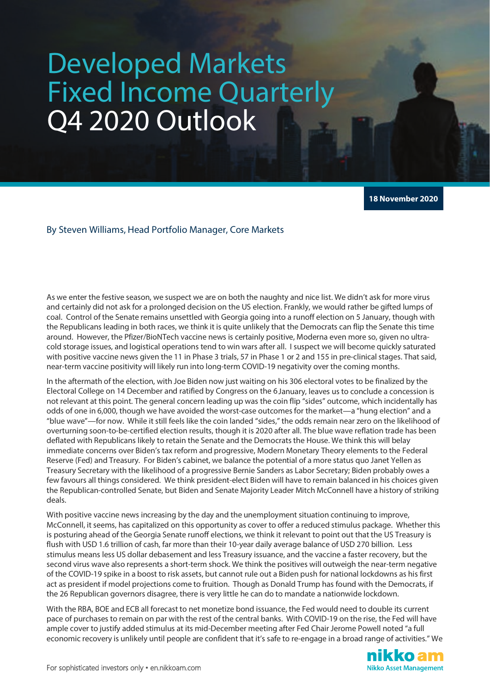## Developed Markets Fixed Income Quarterly Q4 2020 Outlook

**18 November 2020**

## By Steven Williams, Head Portfolio Manager, Core Markets

As we enter the festive season, we suspect we are on both the naughty and nice list. We didn't ask for more virus and certainly did not ask for a prolonged decision on the US election. Frankly, we would rather be gifted lumps of coal. Control of the Senate remains unsettled with Georgia going into a runoff election on 5 January, though with the Republicans leading in both races, we think it is quite unlikely that the Democrats can flip the Senate this time around. However, the Pfizer/BioNTech vaccine news is certainly positive, Moderna even more so, given no ultracold storage issues, and logistical operations tend to win wars after all. I suspect we will become quickly saturated with positive vaccine news given the 11 in Phase 3 trials, 57 in Phase 1 or 2 and 155 in pre-clinical stages. That said, near-term vaccine positivity will likely run into long-term COVID-19 negativity over the coming months.

In the aftermath of the election, with Joe Biden now just waiting on his 306 electoral votes to be finalized by the Electoral College on 14 December and ratified by Congress on the 6January, leaves us to conclude a concession is not relevant at this point. The general concern leading up was the coin flip "sides" outcome, which incidentally has odds of one in 6,000, though we have avoided the worst-case outcomes for the market—a "hung election" and a "blue wave"—for now. While it still feels like the coin landed "sides," the odds remain near zero on the likelihood of overturning soon-to-be-certified election results, though it is 2020 after all. The blue wave reflation trade has been deflated with Republicans likely to retain the Senate and the Democrats the House. We think this will belay immediate concerns over Biden's tax reform and progressive, Modern Monetary Theory elements to the Federal Reserve (Fed) and Treasury. For Biden's cabinet, we balance the potential of a more status quo Janet Yellen as Treasury Secretary with the likelihood of a progressive Bernie Sanders as Labor Secretary; Biden probably owes a few favours all things considered. We think president-elect Biden will have to remain balanced in his choices given the Republican-controlled Senate, but Biden and Senate Majority Leader Mitch McConnell have a history of striking deals.

With positive vaccine news increasing by the day and the unemployment situation continuing to improve, McConnell, it seems, has capitalized on this opportunity as cover to offer a reduced stimulus package. Whether this is posturing ahead of the Georgia Senate runoff elections, we think it relevant to point out that the US Treasury is flush with USD 1.6 trillion of cash, far more than their 10-year daily average balance of USD 270 billion. Less stimulus means less US dollar debasement and less Treasury issuance, and the vaccine a faster recovery, but the second virus wave also represents a short-term shock. We think the positives will outweigh the near-term negative of the COVID-19 spike in a boost to risk assets, but cannot rule out a Biden push for national lockdowns as his first act as president if model projections come to fruition. Though as Donald Trump has found with the Democrats, if the 26 Republican governors disagree, there is very little he can do to mandate a nationwide lockdown.

With the RBA, BOE and ECB all forecast to net monetize bond issuance, the Fed would need to double its current pace of purchases to remain on par with the rest of the central banks. With COVID-19 on the rise, the Fed will have ample cover to justify added stimulus at its mid-December meeting after Fed Chair Jerome Powell noted "a full economic recovery is unlikely until people are confident that it's safe to re-engage in a broad range of activities." We

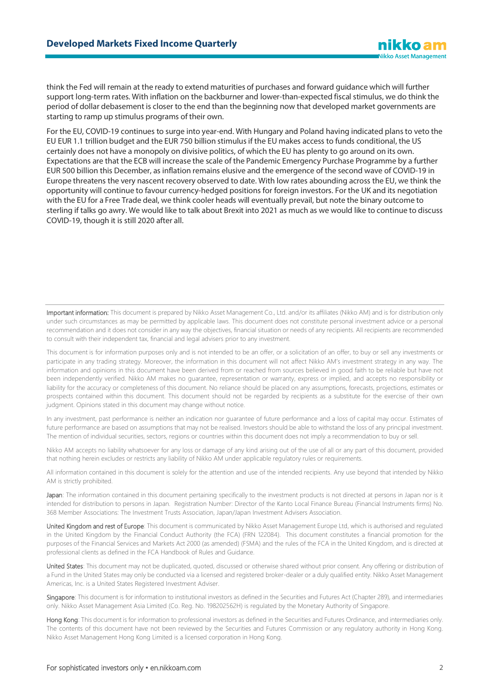think the Fed will remain at the ready to extend maturities of purchases and forward guidance which will further support long-term rates. With inflation on the backburner and lower-than-expected fiscal stimulus, we do think the period of dollar debasement is closer to the end than the beginning now that developed market governments are starting to ramp up stimulus programs of their own.

For the EU, COVID-19 continues to surge into year-end. With Hungary and Poland having indicated plans to veto the EU EUR 1.1 trillion budget and the EUR 750 billion stimulus if the EU makes access to funds conditional, the US certainly does not have a monopoly on divisive politics, of which the EU has plenty to go around on its own. Expectations are that the ECB will increase the scale of the Pandemic Emergency Purchase Programme by a further EUR 500 billion this December, as inflation remains elusive and the emergence of the second wave of COVID-19 in Europe threatens the very nascent recovery observed to date. With low rates abounding across the EU, we think the opportunity will continue to favour currency-hedged positions for foreign investors. For the UK and its negotiation with the EU for a Free Trade deal, we think cooler heads will eventually prevail, but note the binary outcome to sterling if talks go awry. We would like to talk about Brexit into 2021 as much as we would like to continue to discuss COVID-19, though it is still 2020 after all.

Important information: This document is prepared by Nikko Asset Management Co., Ltd. and/or its affiliates (Nikko AM) and is for distribution only under such circumstances as may be permitted by applicable laws. This document does not constitute personal investment advice or a personal recommendation and it does not consider in any way the objectives, financial situation or needs of any recipients. All recipients are recommended to consult with their independent tax, financial and legal advisers prior to any investment.

This document is for information purposes only and is not intended to be an offer, or a solicitation of an offer, to buy or sell any investments or participate in any trading strategy. Moreover, the information in this document will not affect Nikko AM's investment strategy in any way. The information and opinions in this document have been derived from or reached from sources believed in good faith to be reliable but have not been independently verified. Nikko AM makes no guarantee, representation or warranty, express or implied, and accepts no responsibility or liability for the accuracy or completeness of this document. No reliance should be placed on any assumptions, forecasts, projections, estimates or prospects contained within this document. This document should not be regarded by recipients as a substitute for the exercise of their own judgment. Opinions stated in this document may change without notice.

In any investment, past performance is neither an indication nor guarantee of future performance and a loss of capital may occur. Estimates of future performance are based on assumptions that may not be realised. Investors should be able to withstand the loss of any principal investment. The mention of individual securities, sectors, regions or countries within this document does not imply a recommendation to buy or sell.

Nikko AM accepts no liability whatsoever for any loss or damage of any kind arising out of the use of all or any part of this document, provided that nothing herein excludes or restricts any liability of Nikko AM under applicable regulatory rules or requirements.

All information contained in this document is solely for the attention and use of the intended recipients. Any use beyond that intended by Nikko AM is strictly prohibited.

Japan: The information contained in this document pertaining specifically to the investment products is not directed at persons in Japan nor is it intended for distribution to persons in Japan. Registration Number: Director of the Kanto Local Finance Bureau (Financial Instruments firms) No. 368 Member Associations: The Investment Trusts Association, Japan/Japan Investment Advisers Association.

United Kingdom and rest of Europe: This document is communicated by Nikko Asset Management Europe Ltd, which is authorised and regulated in the United Kingdom by the Financial Conduct Authority (the FCA) (FRN 122084). This document constitutes a financial promotion for the purposes of the Financial Services and Markets Act 2000 (as amended) (FSMA) and the rules of the FCA in the United Kingdom, and is directed at professional clients as defined in the FCA Handbook of Rules and Guidance.

United States: This document may not be duplicated, quoted, discussed or otherwise shared without prior consent. Any offering or distribution of a Fund in the United States may only be conducted via a licensed and registered broker-dealer or a duly qualified entity. Nikko Asset Management Americas, Inc. is a United States Registered Investment Adviser.

Singapore: This document is for information to institutional investors as defined in the Securities and Futures Act (Chapter 289), and intermediaries only. Nikko Asset Management Asia Limited (Co. Reg. No. 198202562H) is regulated by the Monetary Authority of Singapore.

Hong Kong: This document is for information to professional investors as defined in the Securities and Futures Ordinance, and intermediaries only. The contents of this document have not been reviewed by the Securities and Futures Commission or any regulatory authority in Hong Kong. Nikko Asset Management Hong Kong Limited is a licensed corporation in Hong Kong.

nikko an Nikko Asset Management